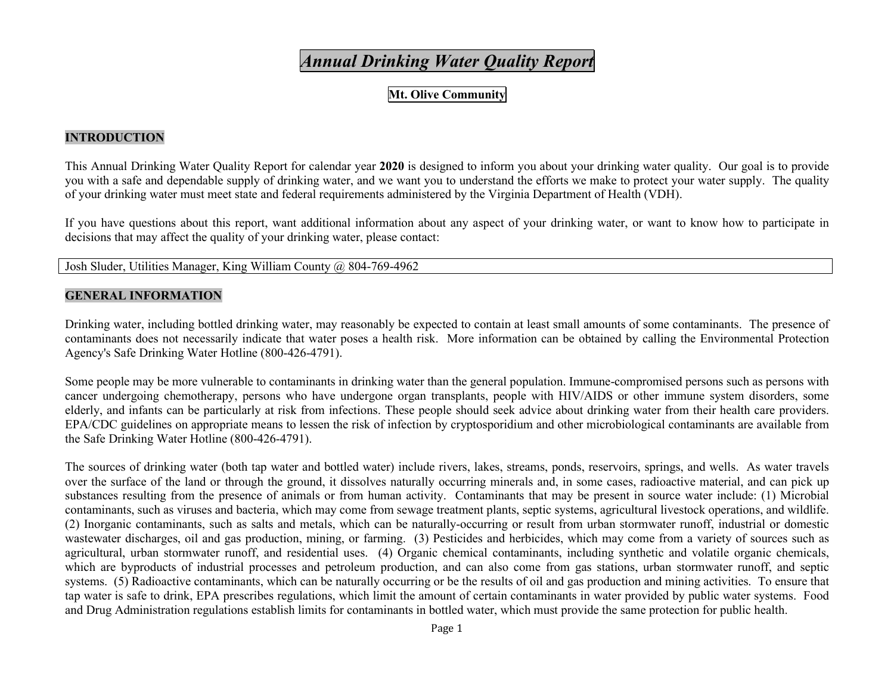# *Annual Drinking Water Quality Report*

**Mt. Olive Community** 

### **INTRODUCTION**

This Annual Drinking Water Quality Report for calendar year **2020** is designed to inform you about your drinking water quality. Our goal is to provide you with a safe and dependable supply of drinking water, and we want you to understand the efforts we make to protect your water supply. The quality of your drinking water must meet state and federal requirements administered by the Virginia Department of Health (VDH).

If you have questions about this report, want additional information about any aspect of your drinking water, or want to know how to participate in decisions that may affect the quality of your drinking water, please contact:

Josh Sluder, Utilities Manager, King William County @ 804-769-4962

### **GENERAL INFORMATION**

Drinking water, including bottled drinking water, may reasonably be expected to contain at least small amounts of some contaminants. The presence of contaminants does not necessarily indicate that water poses a health risk. More information can be obtained by calling the Environmental Protection Agency's Safe Drinking Water Hotline (800-426-4791).

Some people may be more vulnerable to contaminants in drinking water than the general population. Immune-compromised persons such as persons with cancer undergoing chemotherapy, persons who have undergone organ transplants, people with HIV/AIDS or other immune system disorders, some elderly, and infants can be particularly at risk from infections. These people should seek advice about drinking water from their health care providers. EPA/CDC guidelines on appropriate means to lessen the risk of infection by cryptosporidium and other microbiological contaminants are available from the Safe Drinking Water Hotline (800-426-4791).

The sources of drinking water (both tap water and bottled water) include rivers, lakes, streams, ponds, reservoirs, springs, and wells. As water travels over the surface of the land or through the ground, it dissolves naturally occurring minerals and, in some cases, radioactive material, and can pick up substances resulting from the presence of animals or from human activity. Contaminants that may be present in source water include: (1) Microbial contaminants, such as viruses and bacteria, which may come from sewage treatment plants, septic systems, agricultural livestock operations, and wildlife. (2) Inorganic contaminants, such as salts and metals, which can be naturally-occurring or result from urban stormwater runoff, industrial or domestic wastewater discharges, oil and gas production, mining, or farming. (3) Pesticides and herbicides, which may come from a variety of sources such as agricultural, urban stormwater runoff, and residential uses. (4) Organic chemical contaminants, including synthetic and volatile organic chemicals, which are byproducts of industrial processes and petroleum production, and can also come from gas stations, urban stormwater runoff, and septic systems. (5) Radioactive contaminants, which can be naturally occurring or be the results of oil and gas production and mining activities. To ensure that tap water is safe to drink, EPA prescribes regulations, which limit the amount of certain contaminants in water provided by public water systems. Food and Drug Administration regulations establish limits for contaminants in bottled water, which must provide the same protection for public health.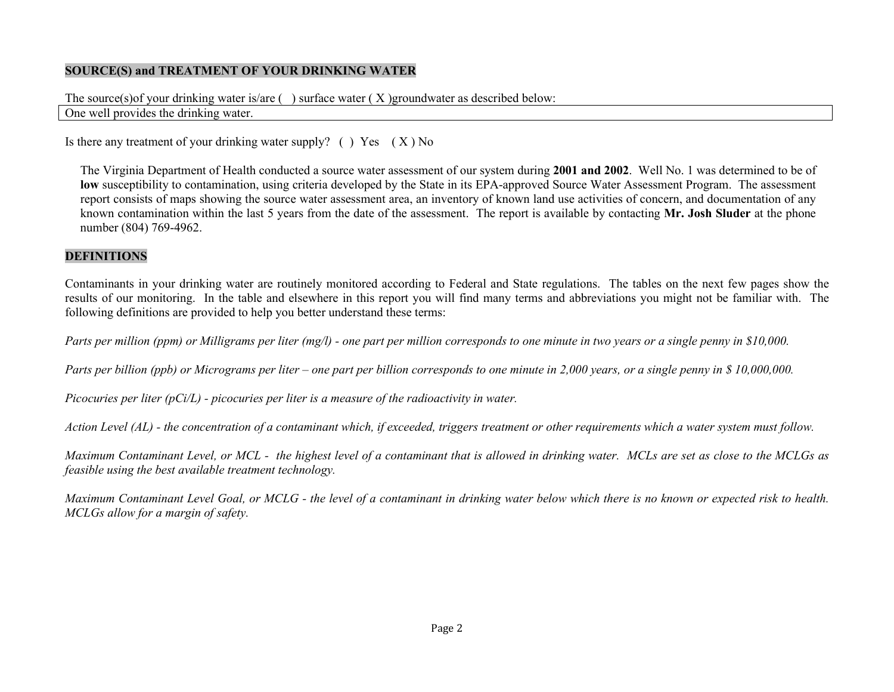### **SOURCE(S) and TREATMENT OF YOUR DRINKING WATER**

# The source(s)of your drinking water is/are  $( )$  surface water  $( X )$  groundwater as described below:

### One well provides the drinking water.

Is there any treatment of your drinking water supply? ( ) Yes  $(X)$  No

The Virginia Department of Health conducted a source water assessment of our system during **2001 and 2002**. Well No. 1 was determined to be of **low** susceptibility to contamination, using criteria developed by the State in its EPA-approved Source Water Assessment Program. The assessment report consists of maps showing the source water assessment area, an inventory of known land use activities of concern, and documentation of any known contamination within the last 5 years from the date of the assessment. The report is available by contacting **Mr. Josh Sluder** at the phone number (804) 769-4962.

## **DEFINITIONS**

Contaminants in your drinking water are routinely monitored according to Federal and State regulations. The tables on the next few pages show the results of our monitoring. In the table and elsewhere in this report you will find many terms and abbreviations you might not be familiar with. The following definitions are provided to help you better understand these terms:

*Parts per million (ppm) or Milligrams per liter (mg/l) - one part per million corresponds to one minute in two years or a single penny in \$10,000.*

*Parts per billion (ppb) or Micrograms per liter – one part per billion corresponds to one minute in 2,000 years, or a single penny in \$ 10,000,000.*

*Picocuries per liter (pCi/L) - picocuries per liter is a measure of the radioactivity in water.*

*Action Level (AL) - the concentration of a contaminant which, if exceeded, triggers treatment or other requirements which a water system must follow.*

*Maximum Contaminant Level, or MCL - the highest level of a contaminant that is allowed in drinking water. MCLs are set as close to the MCLGs as feasible using the best available treatment technology.*

*Maximum Contaminant Level Goal, or MCLG - the level of a contaminant in drinking water below which there is no known or expected risk to health. MCLGs allow for a margin of safety.*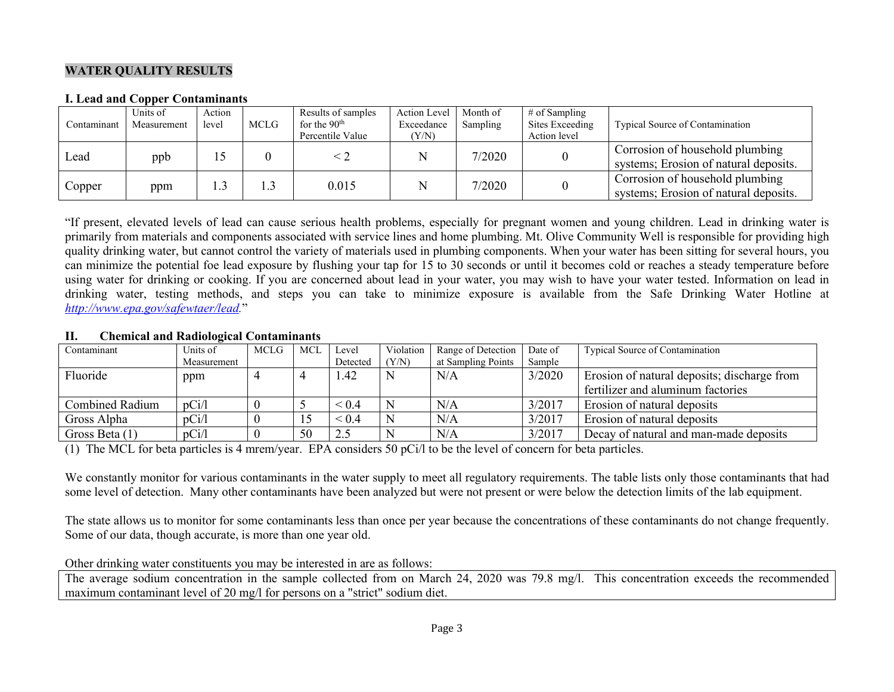### **WATER QUALITY RESULTS**

#### **I. Lead and Copper Contaminants**

| Contaminant | Units of<br>Measurement | Action<br>level | <b>MCLG</b> | Results of samples<br>for the $90th$<br>Percentile Value | Action Level<br>Exceedance<br>(Y/N) | Month of<br>Sampling | $#$ of Sampling<br>Sites Exceeding<br>Action level | Typical Source of Contamination                                          |
|-------------|-------------------------|-----------------|-------------|----------------------------------------------------------|-------------------------------------|----------------------|----------------------------------------------------|--------------------------------------------------------------------------|
| Lead        | ppb                     |                 |             |                                                          | N                                   | 7/2020               |                                                    | Corrosion of household plumbing<br>systems; Erosion of natural deposits. |
| Copper      | ppm                     | 1.3             |             | 0.015                                                    | N                                   | 7/2020               |                                                    | Corrosion of household plumbing<br>systems; Erosion of natural deposits. |

"If present, elevated levels of lead can cause serious health problems, especially for pregnant women and young children. Lead in drinking water is primarily from materials and components associated with service lines and home plumbing. Mt. Olive Community Well is responsible for providing high quality drinking water, but cannot control the variety of materials used in plumbing components. When your water has been sitting for several hours, you can minimize the potential foe lead exposure by flushing your tap for 15 to 30 seconds or until it becomes cold or reaches a steady temperature before using water for drinking or cooking. If you are concerned about lead in your water, you may wish to have your water tested. Information on lead in drinking water, testing methods, and steps you can take to minimize exposure is available from the Safe Drinking Water Hotline at *[http://www.epa.gov/safewtaer/lead.](http://www.epa.gov/safewtaer/lead)*"

#### **II. Chemical and Radiological Contaminants**

| Contaminant            | Units of    | <b>MCLG</b> | MCL | Level           | Violation | Range of Detection | Date of | Typical Source of Contamination             |
|------------------------|-------------|-------------|-----|-----------------|-----------|--------------------|---------|---------------------------------------------|
|                        | Measurement |             |     | Detected        | (Y/N)     | at Sampling Points | Sample  |                                             |
| Fluoride               | ppm         |             |     | l.42            | N         | N/A                | 3/2020  | Erosion of natural deposits; discharge from |
|                        |             |             |     |                 |           |                    |         | fertilizer and aluminum factories           |
| <b>Combined Radium</b> | pCi/l       |             |     | ${}_{0.4}$      |           | N/A                | 3/2017  | Erosion of natural deposits                 |
| Gross Alpha            | pCi/l       |             | 15  | ${}_{\leq 0.4}$ | N         | N/A                | 3/2017  | Erosion of natural deposits                 |
| Gross Beta $(1)$       | pCi/l       |             | 50  | 2.5             | N         | N/A                | 3/2017  | Decay of natural and man-made deposits      |

(1) The MCL for beta particles is 4 mrem/year. EPA considers 50 pCi/l to be the level of concern for beta particles.

We constantly monitor for various contaminants in the water supply to meet all regulatory requirements. The table lists only those contaminants that had some level of detection. Many other contaminants have been analyzed but were not present or were below the detection limits of the lab equipment.

The state allows us to monitor for some contaminants less than once per year because the concentrations of these contaminants do not change frequently. Some of our data, though accurate, is more than one year old.

Other drinking water constituents you may be interested in are as follows:

The average sodium concentration in the sample collected from on March 24, 2020 was 79.8 mg/l. This concentration exceeds the recommended maximum contaminant level of 20 mg/l for persons on a "strict" sodium diet.